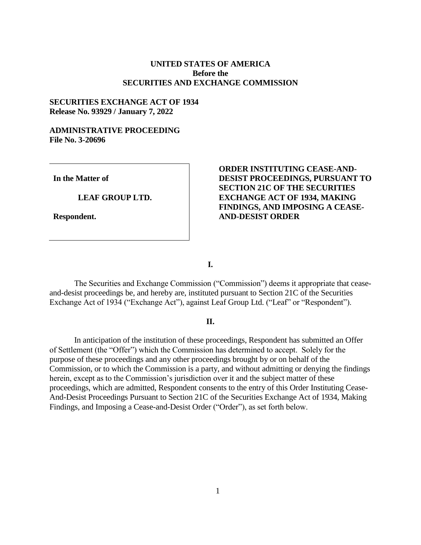## **UNITED STATES OF AMERICA Before the SECURITIES AND EXCHANGE COMMISSION**

### **SECURITIES EXCHANGE ACT OF 1934 Release No. 93929 / January 7, 2022**

# **ADMINISTRATIVE PROCEEDING File No. 3-20696**

**In the Matter of**

**LEAF GROUP LTD.**

**Respondent.**

# **ORDER INSTITUTING CEASE-AND-DESIST PROCEEDINGS, PURSUANT TO SECTION 21C OF THE SECURITIES EXCHANGE ACT OF 1934, MAKING FINDINGS, AND IMPOSING A CEASE-AND-DESIST ORDER**

**I.**

The Securities and Exchange Commission ("Commission") deems it appropriate that ceaseand-desist proceedings be, and hereby are, instituted pursuant to Section 21C of the Securities Exchange Act of 1934 ("Exchange Act"), against Leaf Group Ltd. ("Leaf" or "Respondent").

#### **II.**

In anticipation of the institution of these proceedings, Respondent has submitted an Offer of Settlement (the "Offer") which the Commission has determined to accept. Solely for the purpose of these proceedings and any other proceedings brought by or on behalf of the Commission, or to which the Commission is a party, and without admitting or denying the findings herein, except as to the Commission's jurisdiction over it and the subject matter of these proceedings, which are admitted, Respondent consents to the entry of this Order Instituting Cease-And-Desist Proceedings Pursuant to Section 21C of the Securities Exchange Act of 1934, Making Findings, and Imposing a Cease-and-Desist Order ("Order"), as set forth below.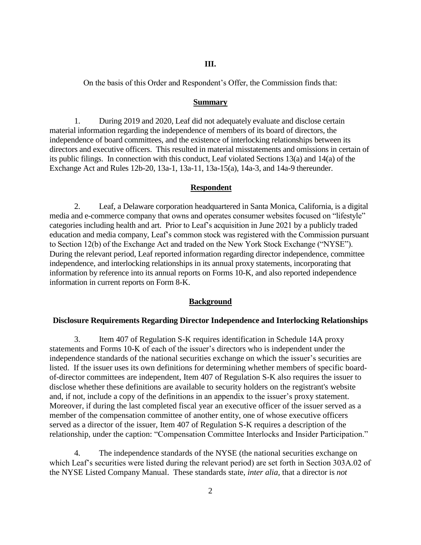### **III.**

On the basis of this Order and Respondent's Offer, the Commission finds that:

### **Summary**

1. During 2019 and 2020, Leaf did not adequately evaluate and disclose certain material information regarding the independence of members of its board of directors, the independence of board committees, and the existence of interlocking relationships between its directors and executive officers. This resulted in material misstatements and omissions in certain of its public filings. In connection with this conduct, Leaf violated Sections 13(a) and 14(a) of the Exchange Act and Rules 12b-20, 13a-1, 13a-11, 13a-15(a), 14a-3, and 14a-9 thereunder.

#### **Respondent**

2. Leaf, a Delaware corporation headquartered in Santa Monica, California, is a digital media and e-commerce company that owns and operates consumer websites focused on "lifestyle" categories including health and art. Prior to Leaf's acquisition in June 2021 by a publicly traded education and media company, Leaf's common stock was registered with the Commission pursuant to Section 12(b) of the Exchange Act and traded on the New York Stock Exchange ("NYSE"). During the relevant period, Leaf reported information regarding director independence, committee independence, and interlocking relationships in its annual proxy statements, incorporating that information by reference into its annual reports on Forms 10-K, and also reported independence information in current reports on Form 8-K.

#### **Background**

#### **Disclosure Requirements Regarding Director Independence and Interlocking Relationships**

3. Item 407 of Regulation S-K requires identification in Schedule 14A proxy statements and Forms 10-K of each of the issuer's directors who is independent under the independence standards of the national securities exchange on which the issuer's securities are listed. If the issuer uses its own definitions for determining whether members of specific boardof-director committees are independent, Item 407 of Regulation S-K also requires the issuer to disclose whether these definitions are available to security holders on the registrant's website and, if not, include a copy of the definitions in an appendix to the issuer's proxy statement. Moreover, if during the last completed fiscal year an executive officer of the issuer served as a member of the compensation committee of another entity, one of whose executive officers served as a director of the issuer, Item 407 of Regulation S-K requires a description of the relationship, under the caption: "Compensation Committee Interlocks and Insider Participation."

4. The independence standards of the NYSE (the national securities exchange on which Leaf's securities were listed during the relevant period) are set forth in Section 303A.02 of the NYSE Listed Company Manual. These standards state, *inter alia,* that a director is *not*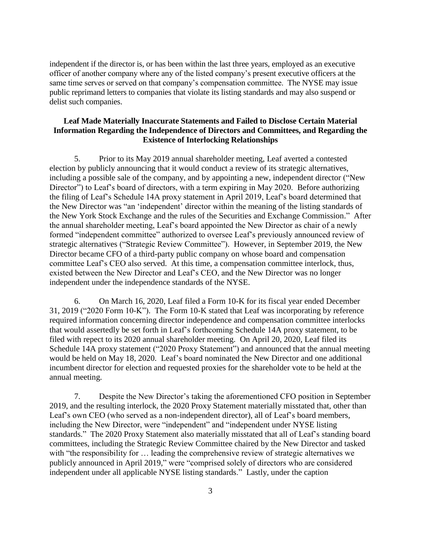independent if the director is, or has been within the last three years, employed as an executive officer of another company where any of the listed company's present executive officers at the same time serves or served on that company's compensation committee. The NYSE may issue public reprimand letters to companies that violate its listing standards and may also suspend or delist such companies.

# **Leaf Made Materially Inaccurate Statements and Failed to Disclose Certain Material Information Regarding the Independence of Directors and Committees, and Regarding the Existence of Interlocking Relationships**

5. Prior to its May 2019 annual shareholder meeting, Leaf averted a contested election by publicly announcing that it would conduct a review of its strategic alternatives, including a possible sale of the company, and by appointing a new, independent director ("New Director") to Leaf's board of directors, with a term expiring in May 2020. Before authorizing the filing of Leaf's Schedule 14A proxy statement in April 2019, Leaf's board determined that the New Director was "an 'independent' director within the meaning of the listing standards of the New York Stock Exchange and the rules of the Securities and Exchange Commission." After the annual shareholder meeting, Leaf's board appointed the New Director as chair of a newly formed "independent committee" authorized to oversee Leaf's previously announced review of strategic alternatives ("Strategic Review Committee"). However, in September 2019, the New Director became CFO of a third-party public company on whose board and compensation committee Leaf's CEO also served. At this time, a compensation committee interlock, thus, existed between the New Director and Leaf's CEO, and the New Director was no longer independent under the independence standards of the NYSE.

6. On March 16, 2020, Leaf filed a Form 10-K for its fiscal year ended December 31, 2019 ("2020 Form 10-K"). The Form 10-K stated that Leaf was incorporating by reference required information concerning director independence and compensation committee interlocks that would assertedly be set forth in Leaf's forthcoming Schedule 14A proxy statement, to be filed with repect to its 2020 annual shareholder meeting. On April 20, 2020, Leaf filed its Schedule 14A proxy statement ("2020 Proxy Statement") and announced that the annual meeting would be held on May 18, 2020. Leaf's board nominated the New Director and one additional incumbent director for election and requested proxies for the shareholder vote to be held at the annual meeting.

7. Despite the New Director's taking the aforementioned CFO position in September 2019, and the resulting interlock, the 2020 Proxy Statement materially misstated that, other than Leaf's own CEO (who served as a non-independent director), all of Leaf's board members, including the New Director, were "independent" and "independent under NYSE listing standards." The 2020 Proxy Statement also materially misstated that all of Leaf's standing board committees, including the Strategic Review Committee chaired by the New Director and tasked with "the responsibility for ... leading the comprehensive review of strategic alternatives we publicly announced in April 2019," were "comprised solely of directors who are considered independent under all applicable NYSE listing standards." Lastly, under the caption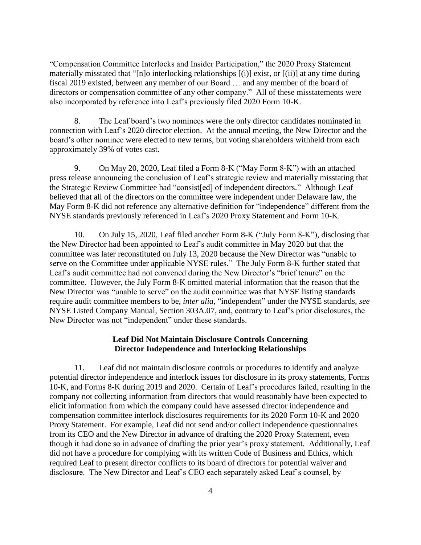"Compensation Committee Interlocks and Insider Participation," the 2020 Proxy Statement materially misstated that "[n]o interlocking relationships [(i)] exist, or [(ii)] at any time during fiscal 2019 existed, between any member of our Board … and any member of the board of directors or compensation committee of any other company." All of these misstatements were also incorporated by reference into Leaf's previously filed 2020 Form 10-K.

8. The Leaf board's two nominees were the only director candidates nominated in connection with Leaf's 2020 director election. At the annual meeting, the New Director and the board's other nominee were elected to new terms, but voting shareholders withheld from each approximately 39% of votes cast.

9. On May 20, 2020, Leaf filed a Form 8-K ("May Form 8-K") with an attached press release announcing the conclusion of Leaf's strategic review and materially misstating that the Strategic Review Committee had "consist[ed] of independent directors." Although Leaf believed that all of the directors on the committee were independent under Delaware law, the May Form 8-K did not reference any alternative definition for "independence" different from the NYSE standards previously referenced in Leaf's 2020 Proxy Statement and Form 10-K.

10. On July 15, 2020, Leaf filed another Form 8-K ("July Form 8-K"), disclosing that the New Director had been appointed to Leaf's audit committee in May 2020 but that the committee was later reconstituted on July 13, 2020 because the New Director was "unable to serve on the Committee under applicable NYSE rules." The July Form 8-K further stated that Leaf's audit committee had not convened during the New Director's "brief tenure" on the committee. However, the July Form 8-K omitted material information that the reason that the New Director was "unable to serve" on the audit committee was that NYSE listing standards require audit committee members to be, *inter alia,* "independent" under the NYSE standards, *see*  NYSE Listed Company Manual, Section 303A.07, and, contrary to Leaf's prior disclosures, the New Director was not "independent" under these standards.

### **Leaf Did Not Maintain Disclosure Controls Concerning Director Independence and Interlocking Relationships**

11. Leaf did not maintain disclosure controls or procedures to identify and analyze potential director independence and interlock issues for disclosure in its proxy statements, Forms 10-K, and Forms 8-K during 2019 and 2020. Certain of Leaf's procedures failed, resulting in the company not collecting information from directors that would reasonably have been expected to elicit information from which the company could have assessed director independence and compensation committee interlock disclosures requirements for its 2020 Form 10-K and 2020 Proxy Statement. For example, Leaf did not send and/or collect independence questionnaires from its CEO and the New Director in advance of drafting the 2020 Proxy Statement, even though it had done so in advance of drafting the prior year's proxy statement. Additionally, Leaf did not have a procedure for complying with its written Code of Business and Ethics, which required Leaf to present director conflicts to its board of directors for potential waiver and disclosure. The New Director and Leaf's CEO each separately asked Leaf's counsel, by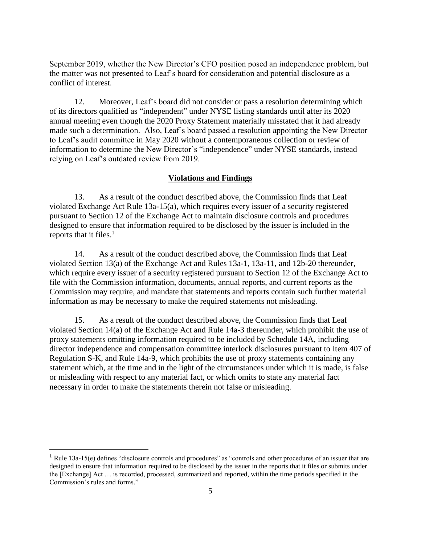September 2019, whether the New Director's CFO position posed an independence problem, but the matter was not presented to Leaf's board for consideration and potential disclosure as a conflict of interest.

12. Moreover, Leaf's board did not consider or pass a resolution determining which of its directors qualified as "independent" under NYSE listing standards until after its 2020 annual meeting even though the 2020 Proxy Statement materially misstated that it had already made such a determination. Also, Leaf's board passed a resolution appointing the New Director to Leaf's audit committee in May 2020 without a contemporaneous collection or review of information to determine the New Director's "independence" under NYSE standards, instead relying on Leaf's outdated review from 2019.

### **Violations and Findings**

13. As a result of the conduct described above, the Commission finds that Leaf violated Exchange Act Rule 13a-15(a), which requires every issuer of a security registered pursuant to Section 12 of the Exchange Act to maintain disclosure controls and procedures designed to ensure that information required to be disclosed by the issuer is included in the reports that it files.<sup>1</sup>

14. As a result of the conduct described above, the Commission finds that Leaf violated Section 13(a) of the Exchange Act and Rules 13a-1, 13a-11, and 12b-20 thereunder, which require every issuer of a security registered pursuant to Section 12 of the Exchange Act to file with the Commission information, documents, annual reports, and current reports as the Commission may require, and mandate that statements and reports contain such further material information as may be necessary to make the required statements not misleading.

15. As a result of the conduct described above, the Commission finds that Leaf violated Section 14(a) of the Exchange Act and Rule 14a-3 thereunder, which prohibit the use of proxy statements omitting information required to be included by Schedule 14A, including director independence and compensation committee interlock disclosures pursuant to Item 407 of Regulation S-K, and Rule 14a-9, which prohibits the use of proxy statements containing any statement which, at the time and in the light of the circumstances under which it is made, is false or misleading with respect to any material fact, or which omits to state any material fact necessary in order to make the statements therein not false or misleading.

 $\overline{a}$ 

 $1$  Rule 13a-15(e) defines "disclosure controls and procedures" as "controls and other procedures of an issuer that are designed to ensure that information required to be disclosed by the issuer in the reports that it files or submits under the [Exchange] Act … is recorded, processed, summarized and reported, within the time periods specified in the Commission's rules and forms."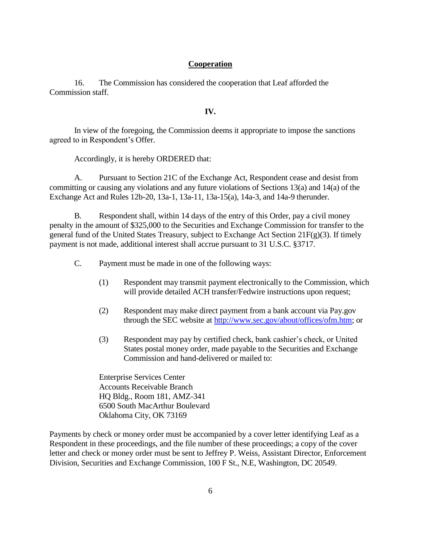# **Cooperation**

16. The Commission has considered the cooperation that Leaf afforded the Commission staff.

## **IV.**

In view of the foregoing, the Commission deems it appropriate to impose the sanctions agreed to in Respondent's Offer.

Accordingly, it is hereby ORDERED that:

A. Pursuant to Section 21C of the Exchange Act, Respondent cease and desist from committing or causing any violations and any future violations of Sections 13(a) and 14(a) of the Exchange Act and Rules 12b-20, 13a-1, 13a-11, 13a-15(a), 14a-3, and 14a-9 therunder.

B. Respondent shall, within 14 days of the entry of this Order, pay a civil money penalty in the amount of \$325,000 to the Securities and Exchange Commission for transfer to the general fund of the United States Treasury, subject to Exchange Act Section 21F(g)(3). If timely payment is not made, additional interest shall accrue pursuant to 31 U.S.C. §3717.

C. Payment must be made in one of the following ways:

- (1) Respondent may transmit payment electronically to the Commission, which will provide detailed ACH transfer/Fedwire instructions upon request;
- (2) Respondent may make direct payment from a bank account via Pay.gov through the SEC website at [http://www.sec.gov/about/offices/ofm.htm;](http://www.sec.gov/about/offices/ofm.htm) or
- (3) Respondent may pay by certified check, bank cashier's check, or United States postal money order, made payable to the Securities and Exchange Commission and hand-delivered or mailed to:

Enterprise Services Center Accounts Receivable Branch HQ Bldg., Room 181, AMZ-341 6500 South MacArthur Boulevard Oklahoma City, OK 73169

Payments by check or money order must be accompanied by a cover letter identifying Leaf as a Respondent in these proceedings, and the file number of these proceedings; a copy of the cover letter and check or money order must be sent to Jeffrey P. Weiss, Assistant Director, Enforcement Division, Securities and Exchange Commission, 100 F St., N.E, Washington, DC 20549.